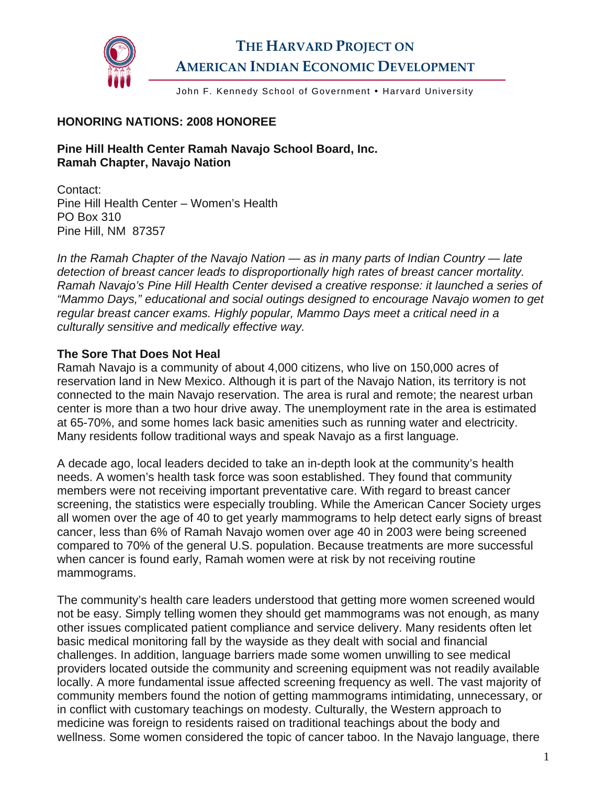

# **THE HARVARD PROJECT ON AMERICAN INDIAN ECONOMIC DEVELOPMENT**

John F. Kennedy School of Government . Harvard University

#### **HONORING NATIONS: 2008 HONOREE**

**Pine Hill Health Center Ramah Navajo School Board, Inc. Ramah Chapter, Navajo Nation** 

Contact: Pine Hill Health Center – Women's Health PO Box 310 Pine Hill, NM 87357

*In the Ramah Chapter of the Navajo Nation — as in many parts of Indian Country — late detection of breast cancer leads to disproportionally high rates of breast cancer mortality. Ramah Navajo's Pine Hill Health Center devised a creative response: it launched a series of "Mammo Days," educational and social outings designed to encourage Navajo women to get regular breast cancer exams. Highly popular, Mammo Days meet a critical need in a culturally sensitive and medically effective way.* 

#### **The Sore That Does Not Heal**

Ramah Navajo is a community of about 4,000 citizens, who live on 150,000 acres of reservation land in New Mexico. Although it is part of the Navajo Nation, its territory is not connected to the main Navajo reservation. The area is rural and remote; the nearest urban center is more than a two hour drive away. The unemployment rate in the area is estimated at 65-70%, and some homes lack basic amenities such as running water and electricity. Many residents follow traditional ways and speak Navajo as a first language.

A decade ago, local leaders decided to take an in-depth look at the community's health needs. A women's health task force was soon established. They found that community members were not receiving important preventative care. With regard to breast cancer screening, the statistics were especially troubling. While the American Cancer Society urges all women over the age of 40 to get yearly mammograms to help detect early signs of breast cancer, less than 6% of Ramah Navajo women over age 40 in 2003 were being screened compared to 70% of the general U.S. population. Because treatments are more successful when cancer is found early, Ramah women were at risk by not receiving routine mammograms.

The community's health care leaders understood that getting more women screened would not be easy. Simply telling women they should get mammograms was not enough, as many other issues complicated patient compliance and service delivery. Many residents often let basic medical monitoring fall by the wayside as they dealt with social and financial challenges. In addition, language barriers made some women unwilling to see medical providers located outside the community and screening equipment was not readily available locally. A more fundamental issue affected screening frequency as well. The vast majority of community members found the notion of getting mammograms intimidating, unnecessary, or in conflict with customary teachings on modesty. Culturally, the Western approach to medicine was foreign to residents raised on traditional teachings about the body and wellness. Some women considered the topic of cancer taboo. In the Navajo language, there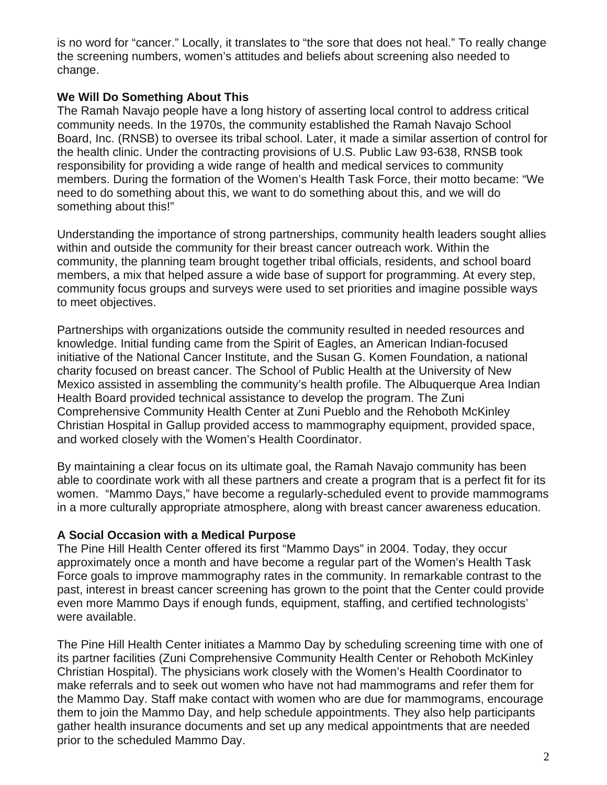is no word for "cancer." Locally, it translates to "the sore that does not heal." To really change the screening numbers, women's attitudes and beliefs about screening also needed to change.

## **We Will Do Something About This**

The Ramah Navajo people have a long history of asserting local control to address critical community needs. In the 1970s, the community established the Ramah Navajo School Board, Inc. (RNSB) to oversee its tribal school. Later, it made a similar assertion of control for the health clinic. Under the contracting provisions of U.S. Public Law 93-638, RNSB took responsibility for providing a wide range of health and medical services to community members. During the formation of the Women's Health Task Force, their motto became: "We need to do something about this, we want to do something about this, and we will do something about this!"

Understanding the importance of strong partnerships, community health leaders sought allies within and outside the community for their breast cancer outreach work. Within the community, the planning team brought together tribal officials, residents, and school board members, a mix that helped assure a wide base of support for programming. At every step, community focus groups and surveys were used to set priorities and imagine possible ways to meet objectives.

Partnerships with organizations outside the community resulted in needed resources and knowledge. Initial funding came from the Spirit of Eagles, an American Indian-focused initiative of the National Cancer Institute, and the Susan G. Komen Foundation, a national charity focused on breast cancer. The School of Public Health at the University of New Mexico assisted in assembling the community's health profile. The Albuquerque Area Indian Health Board provided technical assistance to develop the program. The Zuni Comprehensive Community Health Center at Zuni Pueblo and the Rehoboth McKinley Christian Hospital in Gallup provided access to mammography equipment, provided space, and worked closely with the Women's Health Coordinator.

By maintaining a clear focus on its ultimate goal, the Ramah Navajo community has been able to coordinate work with all these partners and create a program that is a perfect fit for its women. "Mammo Days," have become a regularly-scheduled event to provide mammograms in a more culturally appropriate atmosphere, along with breast cancer awareness education.

### **A Social Occasion with a Medical Purpose**

The Pine Hill Health Center offered its first "Mammo Days" in 2004. Today, they occur approximately once a month and have become a regular part of the Women's Health Task Force goals to improve mammography rates in the community. In remarkable contrast to the past, interest in breast cancer screening has grown to the point that the Center could provide even more Mammo Days if enough funds, equipment, staffing, and certified technologists' were available.

The Pine Hill Health Center initiates a Mammo Day by scheduling screening time with one of its partner facilities (Zuni Comprehensive Community Health Center or Rehoboth McKinley Christian Hospital). The physicians work closely with the Women's Health Coordinator to make referrals and to seek out women who have not had mammograms and refer them for the Mammo Day. Staff make contact with women who are due for mammograms, encourage them to join the Mammo Day, and help schedule appointments. They also help participants gather health insurance documents and set up any medical appointments that are needed prior to the scheduled Mammo Day.